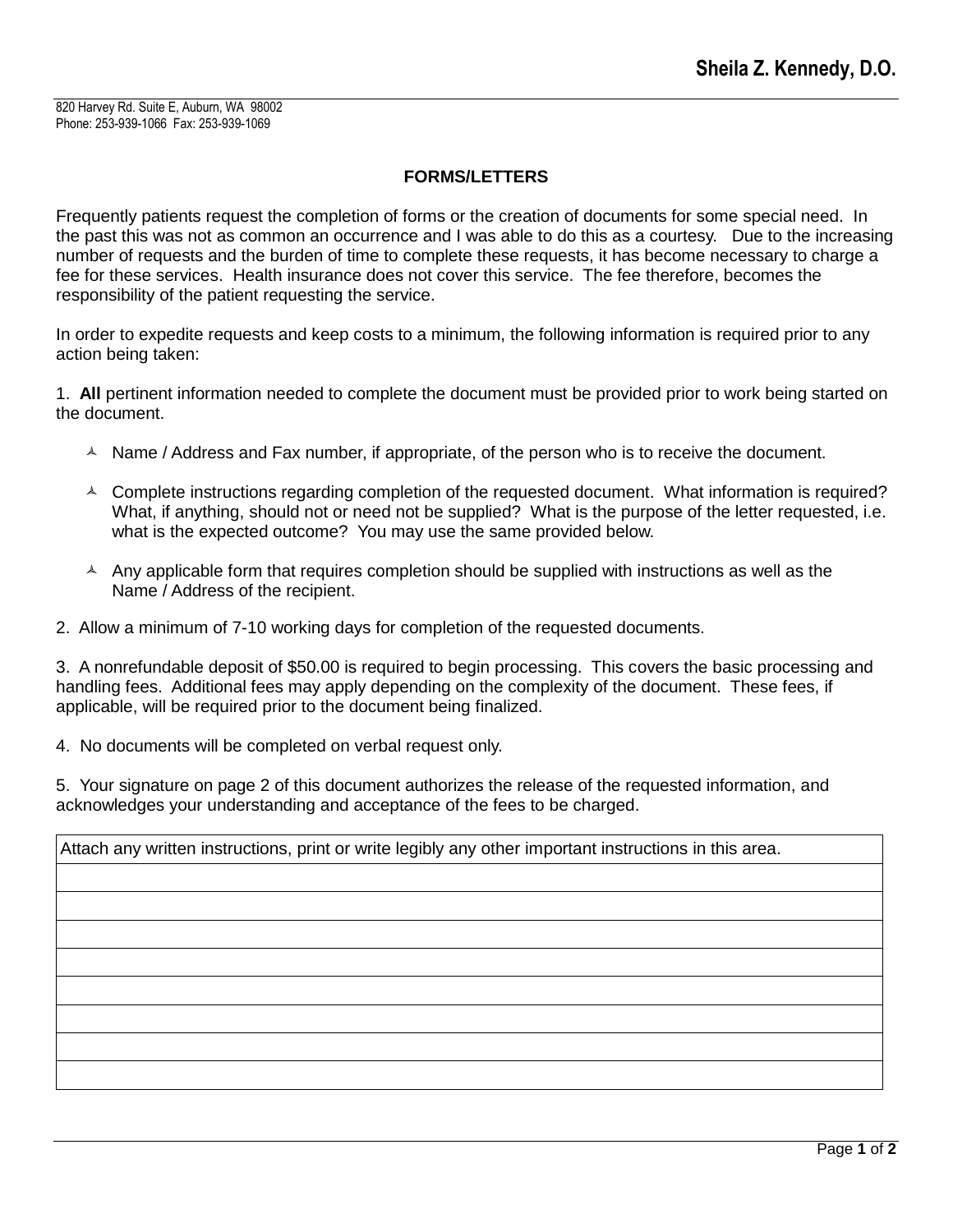820 Harvey Rd. Suite E, Auburn, WA 98002 Phone: 253-939-1066 Fax: 253-939-1069

## **FORMS/LETTERS**

Frequently patients request the completion of forms or the creation of documents for some special need. In the past this was not as common an occurrence and I was able to do this as a courtesy. Due to the increasing number of requests and the burden of time to complete these requests, it has become necessary to charge a fee for these services. Health insurance does not cover this service. The fee therefore, becomes the responsibility of the patient requesting the service.

In order to expedite requests and keep costs to a minimum, the following information is required prior to any action being taken:

1. **All** pertinent information needed to complete the document must be provided prior to work being started on the document.

- $\triangle$  Name / Address and Fax number, if appropriate, of the person who is to receive the document.
- $\sim$  Complete instructions regarding completion of the requested document. What information is required? What, if anything, should not or need not be supplied? What is the purpose of the letter requested, i.e. what is the expected outcome? You may use the same provided below.
- $\triangle$  Any applicable form that requires completion should be supplied with instructions as well as the Name / Address of the recipient.
- 2. Allow a minimum of 7-10 working days for completion of the requested documents.

3. A nonrefundable deposit of \$50.00 is required to begin processing. This covers the basic processing and handling fees. Additional fees may apply depending on the complexity of the document. These fees, if applicable, will be required prior to the document being finalized.

4. No documents will be completed on verbal request only.

5. Your signature on page 2 of this document authorizes the release of the requested information, and acknowledges your understanding and acceptance of the fees to be charged.

| Attach any written instructions, print or write legibly any other important instructions in this area. |  |
|--------------------------------------------------------------------------------------------------------|--|
|                                                                                                        |  |
|                                                                                                        |  |
|                                                                                                        |  |
|                                                                                                        |  |
|                                                                                                        |  |
|                                                                                                        |  |
|                                                                                                        |  |
|                                                                                                        |  |